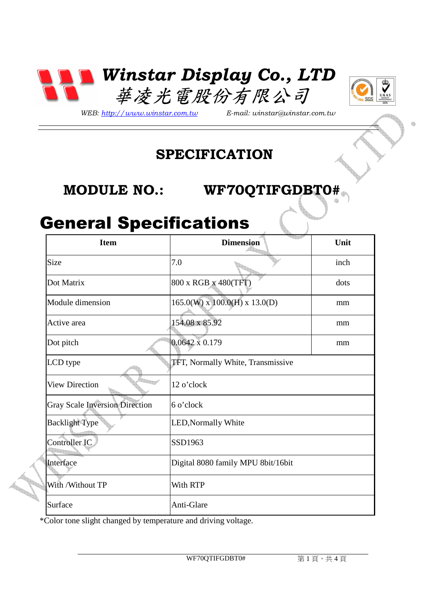



*WEB: http://www.winstar.com.tw E-mail: winstar@winstar.com.tw*

### **SPECIFICATION**

### **MODULE NO.: WF70QTIFGDBT0#**

## General Specifications

| <b>Item</b>                           | <u>termine k</u><br><b>Dimension</b>     | Unit |
|---------------------------------------|------------------------------------------|------|
| Size                                  | 7.0                                      | inch |
| Dot Matrix                            | 800 x RGB x 480(TFT)                     | dots |
| Module dimension                      | $165.0(W)$ x $100.0(H)$ x $13.0(D)$      | mm   |
| Active area                           | 154.08 x 85.92                           | mm   |
| Dot pitch                             | $0.0642 \times 0.179$                    | mm   |
| LCD type                              | <b>TFT, Normally White, Transmissive</b> |      |
| <b>View Direction</b>                 | 12 o'clock                               |      |
| <b>Gray Scale Inversion Direction</b> | 6 o'clock                                |      |
| <b>Backlight Type</b>                 | LED, Normally White                      |      |
| Controller IC                         | SSD1963                                  |      |
| Interface                             | Digital 8080 family MPU 8bit/16bit       |      |
| With /Without TP                      | With RTP                                 |      |
| Surface                               | Anti-Glare                               |      |

\*Color tone slight changed by temperature and driving voltage.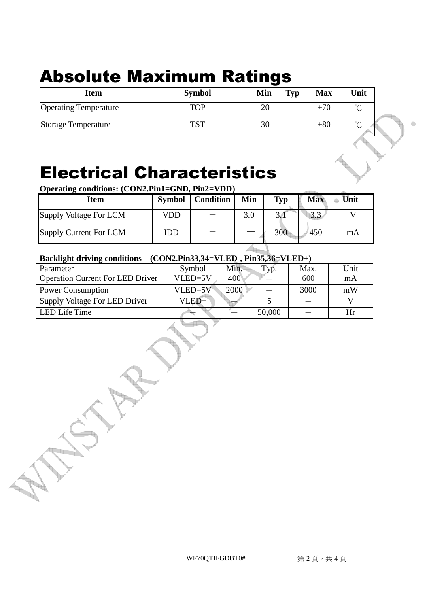# Absolute Maximum Ratings

| <b>Item</b>                  | <b>Symbol</b> | Min   | Typ    | <b>Max</b> | Unit   |
|------------------------------|---------------|-------|--------|------------|--------|
| <b>Operating Temperature</b> | <b>TOP</b>    | $-20$ |        | $+70$      | $\sim$ |
| Storage Temperature          | TCT           | $-30$ | $\sim$ | $+80$      | $\sim$ |

## Electrical Characteristics

**Operating conditions: (CON2.Pin1=GND, Pin2=VDD)**

| <b>Item</b>            | <b>Symbol</b> | <b>Condition</b> | Min | Typ | <b>Max</b> | Unit |
|------------------------|---------------|------------------|-----|-----|------------|------|
| Supply Voltage For LCM | VDD           |                  | 3.0 | JH  | 3.3        |      |
| Supply Current For LCM | IDD           |                  |     | 300 | 450        | mA   |

#### **Backlight driving conditions (CON2.Pin33,34=VLED-, Pin35,36=VLED+)**

| Parameter                               | Symbol    | Min. | `VĎ.   | Max. | Unit |  |
|-----------------------------------------|-----------|------|--------|------|------|--|
| <b>Operation Current For LED Driver</b> | VLED=5V   | 400  |        | 600  | mA   |  |
| <b>Power Consumption</b>                | $VLED=5V$ | 2000 |        | 3000 | mW   |  |
| Supply Voltage For LED Driver           | VLED+     |      |        |      |      |  |
| LED Life Time                           |           |      | 50,000 |      | Hr   |  |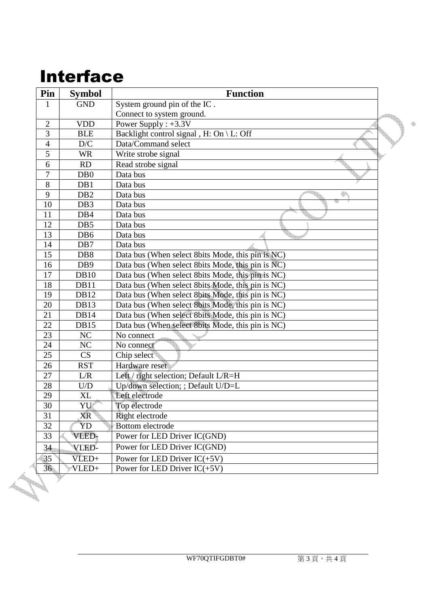# Interface

| Pin            | <b>Symbol</b>           | <b>Function</b>                                   |  |
|----------------|-------------------------|---------------------------------------------------|--|
| $\mathbf{1}$   | <b>GND</b>              | System ground pin of the IC.                      |  |
|                |                         | Connect to system ground.                         |  |
| $\overline{2}$ | <b>VDD</b>              | Power Supply : $+3.3V$                            |  |
| $\overline{3}$ | <b>BLE</b>              | Backlight control signal, H: On \ L: Off          |  |
| $\overline{4}$ | $\mathbf{D}/\mathbf{C}$ | Data/Command select                               |  |
| 5              | <b>WR</b>               | Write strobe signal                               |  |
| 6              | RD                      | Read strobe signal                                |  |
| $\overline{7}$ | D <sub>B</sub> 0        | Data bus                                          |  |
| $\overline{8}$ | DB1                     | Data bus                                          |  |
| $\overline{9}$ | DB <sub>2</sub>         | Data bus                                          |  |
| 10             | DB <sub>3</sub>         | Data bus                                          |  |
| 11             | DB4                     | Data bus                                          |  |
| 12             | DB5                     | Data bus                                          |  |
| 13             | DB <sub>6</sub>         | Data bus                                          |  |
| 14             | DB7                     | Data bus                                          |  |
| 15             | DB <sub>8</sub>         | Data bus (When select 8bits Mode, this pin is NC) |  |
| 16             | DB <sub>9</sub>         | Data bus (When select 8bits Mode, this pin is NC) |  |
| 17             | <b>DB10</b>             | Data bus (When select 8bits Mode, this pin is NC) |  |
| 18             | DB11                    | Data bus (When select 8bits Mode, this pin is NC) |  |
| 19             | DB12                    | Data bus (When select 8bits Mode, this pin is NC) |  |
| 20             | <b>DB13</b>             | Data bus (When select 8bits Mode, this pin is NC) |  |
| 21             | <b>DB14</b>             | Data bus (When select 8bits Mode, this pin is NC) |  |
| 22             | <b>DB15</b>             | Data bus (When select 8bits Mode, this pin is NC) |  |
| 23             | NC                      | No connect                                        |  |
| 24             | NC                      | No connect                                        |  |
| 25             | CS                      | Chip select                                       |  |
| 26             | <b>RST</b>              | Hardware reset                                    |  |
| 27             | L/R                     | Left / right selection; Default L/R=H             |  |
| 28             | U/D                     | Up/down selection; ; Default U/D=L                |  |
| 29             | XL                      | Left electrode                                    |  |
| 30             | YU                      | Top electrode                                     |  |
| 31             | XR                      | Right electrode                                   |  |
| 32             | YD                      | Bottom electrode                                  |  |
| 33             | VLED-                   | Power for LED Driver IC(GND)                      |  |
| 34             | VLED-                   | Power for LED Driver IC(GND)                      |  |
| 35             | VLED+                   | Power for LED Driver $IC(+5V)$                    |  |
| 36             | VLED+                   | Power for LED Driver $IC(+5V)$                    |  |